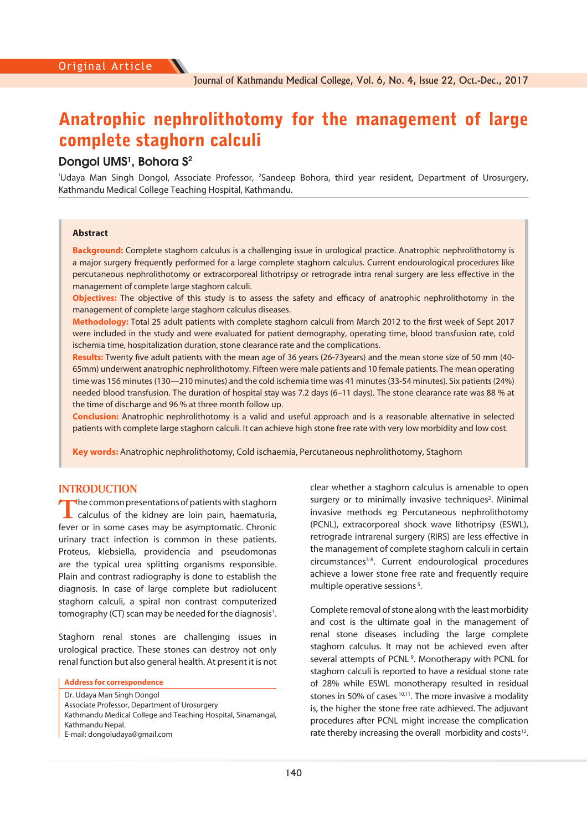# Anatrophic nephrolithotomy for the management of large complete staghorn calculi

# **Dongol UMS<sup>1</sup>, Bohora S<sup>2</sup>**

'Udaya Man Singh Dongol, Associate Professor, <sup>2</sup>Sandeep Bohora, third year resident, Department of Urosurgery, Kathmandu Medical College Teaching Hospital, Kathmandu.

#### **Abstract**

**Background:** Complete staghorn calculus is a challenging issue in urological practice. Anatrophic nephrolithotomy is a major surgery frequently performed for a large complete staghorn calculus. Current endourological procedures like percutaneous nephrolithotomy or extracorporeal lithotripsy or retrograde intra renal surgery are less effective in the management of complete large staghorn calculi.

**Objectives:** The objective of this study is to assess the safety and efficacy of anatrophic nephrolithotomy in the management of complete large staghorn calculus diseases.

Methodology: Total 25 adult patients with complete staghorn calculi from March 2012 to the first week of Sept 2017 were included in the study and were evaluated for patient demography, operating time, blood transfusion rate, cold ischemia time, hospitalization duration, stone clearance rate and the complications.

**Results:** Twenty five adult patients with the mean age of 36 years (26-73years) and the mean stone size of 50 mm (40-65mm) underwent anatrophic nephrolithotomy. Fifteen were male patients and 10 female patients. The mean operating time was 156 minutes (130—210 minutes) and the cold ischemia time was 41 minutes (33-54 minutes). Six patients (24%) needed blood transfusion. The duration of hospital stay was 7.2 days (6–11 days). The stone clearance rate was 88 % at the time of discharge and 96 % at three month follow up.

**Conclusion:** Anatrophic nephrolithotomy is a valid and useful approach and is a reasonable alternative in selected patients with complete large staghorn calculi. It can achieve high stone free rate with very low morbidity and low cost.

**Key words:** Anatrophic nephrolithotomy, Cold ischaemia, Percutaneous nephrolithotomy, Staghorn

## **INTRODUCTION**

**T**he common presentations of patients with staghorn calculus of the kidney are loin pain, haematuria, fever or in some cases may be asymptomatic. Chronic urinary tract infection is common in these patients. Proteus, klebsiella, providencia and pseudomonas are the typical urea splitting organisms responsible. Plain and contrast radiography is done to establish the diagnosis. In case of large complete but radiolucent staghorn calculi, a spiral non contrast computerized tomography (CT) scan may be needed for the diagnosis<sup>1</sup>.

Staghorn renal stones are challenging issues in urological practice. These stones can destroy not only renal function but also general health. At present it is not

**Address for correspondence** 

Dr. Udaya Man Singh Dongol

Kathmandu Medical College and Teaching Hospital, Sinamangal, Kathmandu Nepal.

E-mail: dongoludaya@gmail.com

clear whether a staghorn calculus is amenable to open surgery or to minimally invasive techniques<sup>2</sup>. Minimal invasive methods eg Percutaneous nephrolithotomy (PCNL), extracorporeal shock wave lithotripsy (ESWL), retrograde intrarenal surgery (RIRS) are less effective in the management of complete staghorn calculi in certain circumstances<sup>3-8</sup>. Current endourological procedures achieve a lower stone free rate and frequently require multiple operative sessions<sup>5</sup>.

Complete removal of stone along with the least morbidity and cost is the ultimate goal in the management of renal stone diseases including the large complete staghorn calculus. It may not be achieved even after several attempts of PCNL<sup>9</sup>. Monotherapy with PCNL for staghorn calculi is reported to have a residual stone rate of 28% while ESWL monotherapy resulted in residual stones in 50% of cases  $10,11$ . The more invasive a modality is, the higher the stone free rate adhieved. The adjuvant procedures after PCNL might increase the complication rate thereby increasing the overall morbidity and costs<sup>12</sup>.

Associate Professor, Department of Urosurgery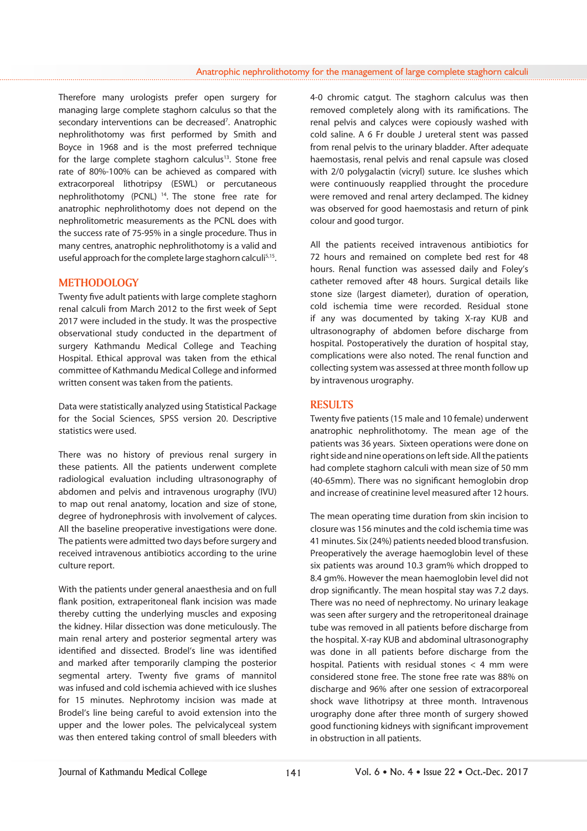Therefore many urologists prefer open surgery for managing large complete staghorn calculus so that the secondary interventions can be decreased<sup>7</sup>. Anatrophic nephrolithotomy was first performed by Smith and Boyce in 1968 and is the most preferred technique for the large complete staghorn calculus<sup>13</sup>. Stone free rate of 80%-100% can be achieved as compared with extracorporeal lithotripsy (ESWL) or percutaneous nephrolithotomy (PCNL) 14. The stone free rate for anatrophic nephrolithotomy does not depend on the nephrolitometric measurements as the PCNL does with the success rate of 75-95% in a single procedure. Thus in many centres, anatrophic nephrolithotomy is a valid and useful approach for the complete large staghorn calculi<sup>5,15</sup>.

# **METHODOLOGY**

Twenty five adult patients with large complete staghorn renal calculi from March 2012 to the first week of Sept 2017 were included in the study. It was the prospective observational study conducted in the department of surgery Kathmandu Medical College and Teaching Hospital. Ethical approval was taken from the ethical committee of Kathmandu Medical College and informed written consent was taken from the patients.

Data were statistically analyzed using Statistical Package for the Social Sciences, SPSS version 20. Descriptive statistics were used.

There was no history of previous renal surgery in these patients. All the patients underwent complete radiological evaluation including ultrasonography of abdomen and pelvis and intravenous urography (IVU) to map out renal anatomy, location and size of stone, degree of hydronephrosis with involvement of calyces. All the baseline preoperative investigations were done. The patients were admitted two days before surgery and received intravenous antibiotics according to the urine culture report.

With the patients under general anaesthesia and on full flank position, extraperitoneal flank incision was made thereby cutting the underlying muscles and exposing the kidney. Hilar dissection was done meticulously. The main renal artery and posterior segmental artery was identified and dissected. Brodel's line was identified and marked after temporarily clamping the posterior segmental artery. Twenty five grams of mannitol was infused and cold ischemia achieved with ice slushes for 15 minutes. Nephrotomy incision was made at Brodel's line being careful to avoid extension into the upper and the lower poles. The pelvicalyceal system was then entered taking control of small bleeders with

4-0 chromic catgut. The staghorn calculus was then removed completely along with its ramifications. The renal pelvis and calyces were copiously washed with cold saline. A 6 Fr double J ureteral stent was passed from renal pelvis to the urinary bladder. After adequate haemostasis, renal pelvis and renal capsule was closed with 2/0 polygalactin (vicryl) suture. Ice slushes which were continuously reapplied throught the procedure were removed and renal artery declamped. The kidney was observed for good haemostasis and return of pink colour and good turgor.

All the patients received intravenous antibiotics for 72 hours and remained on complete bed rest for 48 hours. Renal function was assessed daily and Foley's catheter removed after 48 hours. Surgical details like stone size (largest diameter), duration of operation, cold ischemia time were recorded. Residual stone if any was documented by taking X-ray KUB and ultrasonography of abdomen before discharge from hospital. Postoperatively the duration of hospital stay, complications were also noted. The renal function and collecting system was assessed at three month follow up by intravenous urography.

# **RESULTS**

Twenty five patients (15 male and 10 female) underwent anatrophic nephrolithotomy. The mean age of the patients was 36 years. Sixteen operations were done on right side and nine operations on left side. All the patients had complete staghorn calculi with mean size of 50 mm (40-65mm). There was no significant hemoglobin drop and increase of creatinine level measured after 12 hours.

The mean operating time duration from skin incision to closure was 156 minutes and the cold ischemia time was 41 minutes. Six (24%) patients needed blood transfusion. Preoperatively the average haemoglobin level of these six patients was around 10.3 gram% which dropped to 8.4 gm%. However the mean haemoglobin level did not drop significantly. The mean hospital stay was 7.2 days. There was no need of nephrectomy. No urinary leakage was seen after surgery and the retroperitoneal drainage tube was removed in all patients before discharge from the hospital. X-ray KUB and abdominal ultrasonography was done in all patients before discharge from the hospital. Patients with residual stones  $<$  4 mm were considered stone free. The stone free rate was 88% on discharge and 96% after one session of extracorporeal shock wave lithotripsy at three month. Intravenous urography done after three month of surgery showed good functioning kidneys with significant improvement in obstruction in all patients.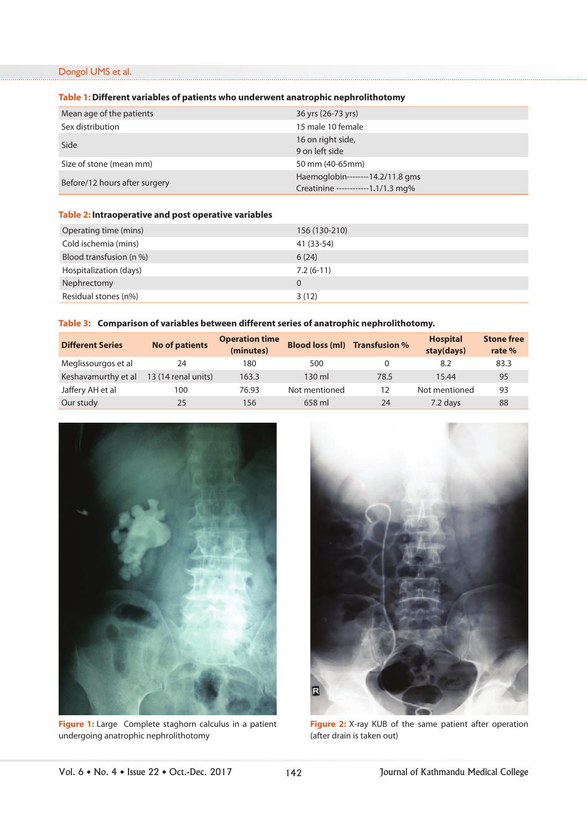# Dongol UMS et al.

#### **Table 1: Different variables of patients who underwent anatrophic nephrolithotomy**

| Mean age of the patients      | 36 yrs (26-73 yrs)                                                     |
|-------------------------------|------------------------------------------------------------------------|
| Sex distribution              | 15 male 10 female                                                      |
| Side                          | 16 on right side,<br>9 on left side                                    |
| Size of stone (mean mm)       | 50 mm (40-65mm)                                                        |
| Before/12 hours after surgery | Haemoglobin--------14.2/11.8 gms<br>Creatinine ------------1.1/1.3 mg% |

# **Table 2: Intraoperative and post operative variables**

| Operating time (mins)   | 156 (130-210) |
|-------------------------|---------------|
| Cold ischemia (mins)    | 41 (33-54)    |
| Blood transfusion (n %) | 6(24)         |
| Hospitalization (days)  | $7.2(6-11)$   |
| Nephrectomy             | 0             |
| Residual stones (n%)    | 3(12)         |

# **Table 3: Comparison of variables between different series of anatrophic nephrolithotomy.**

| <b>Different Series</b> | <b>No of patients</b> | <b>Operation time</b><br>(minutes) | <b>Blood loss (ml)</b> | <b>Transfusion %</b> | <b>Hospital</b><br>stay(days) | <b>Stone free</b><br>rate % |
|-------------------------|-----------------------|------------------------------------|------------------------|----------------------|-------------------------------|-----------------------------|
| Meglissourgos et al     | 24                    | 180                                | 500                    | 0                    | 8.2                           | 83.3                        |
| Keshavamurthy et al     | 13 (14 renal units)   | 163.3                              | $130 \text{ ml}$       | 78.5                 | 15.44                         | 95                          |
| Jaffery AH et al        | 100                   | 76.93                              | Not mentioned          | 12                   | Not mentioned                 | 93                          |
| Our study               | 25                    | 156                                | 658 ml                 | 24                   | 7.2 days                      | 88                          |



**Figure 1:** Large Complete staghorn calculus in a patient undergoing anatrophic nephrolithotomy



**Figure 2:** X-ray KUB of the same patient after operation (after drain is taken out)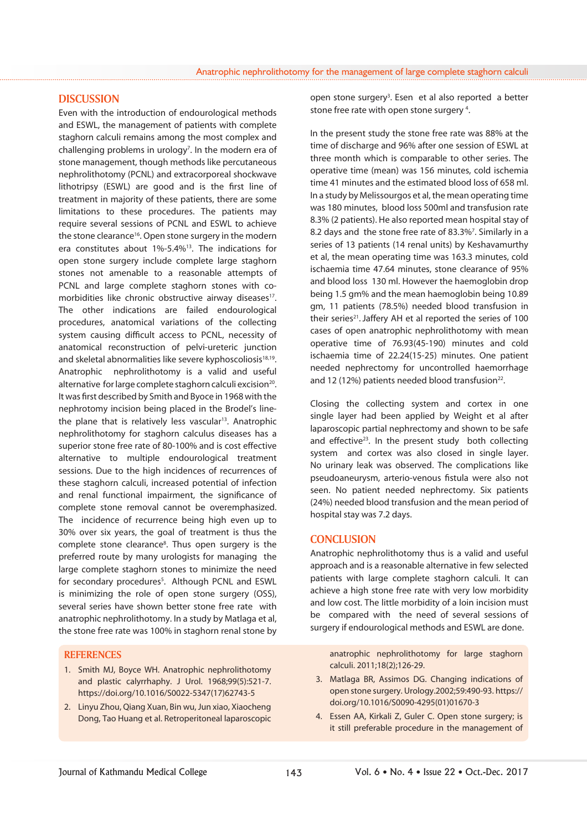#### **DISCUSSION**

Even with the introduction of endourological methods and ESWL, the management of patients with complete staghorn calculi remains among the most complex and challenging problems in urology<sup>7</sup>. In the modern era of stone management, though methods like percutaneous nephrolithotomy (PCNL) and extracorporeal shockwave lithotripsy (ESWL) are good and is the first line of treatment in majority of these patients, there are some limitations to these procedures. The patients may require several sessions of PCNL and ESWL to achieve the stone clearance<sup>16</sup>. Open stone surgery in the modern era constitutes about 1%-5.4%13. The indications for open stone surgery include complete large staghorn stones not amenable to a reasonable attempts of PCNL and large complete staghorn stones with comorbidities like chronic obstructive airway diseases<sup>17</sup>. The other indications are failed endourological procedures, anatomical variations of the collecting system causing difficult access to PCNL, necessity of anatomical reconstruction of pelvi-ureteric junction and skeletal abnormalities like severe kyphoscoliosis<sup>18,19</sup>. Anatrophic nephrolithotomy is a valid and useful alternative for large complete staghorn calculi excision<sup>20</sup>. It was first described by Smith and Byoce in 1968 with the nephrotomy incision being placed in the Brodel's linethe plane that is relatively less vascular<sup>13</sup>. Anatrophic nephrolithotomy for staghorn calculus diseases has a superior stone free rate of 80-100% and is cost effective alternative to multiple endourological treatment sessions. Due to the high incidences of recurrences of these staghorn calculi, increased potential of infection and renal functional impairment, the significance of complete stone removal cannot be overemphasized. The incidence of recurrence being high even up to 30% over six years, the goal of treatment is thus the complete stone clearance<sup>8</sup>. Thus open surgery is the preferred route by many urologists for managing the large complete staghorn stones to minimize the need for secondary procedures<sup>5</sup>. Although PCNL and ESWL is minimizing the role of open stone surgery (OSS), several series have shown better stone free rate with anatrophic nephrolithotomy. In a study by Matlaga et al, the stone free rate was 100% in staghorn renal stone by

#### **REFERENCES**

- 1. Smith MJ, Boyce WH. Anatrophic nephrolithotomy and plastic calyrrhaphy. J Urol. 1968;99(5):521-7. https://doi.org/10.1016/S0022-5347(17)62743-5
- 2. Linyu Zhou, Qiang Xuan, Bin wu, Jun xiao, Xiaocheng Dong, Tao Huang et al. Retroperitoneal laparoscopic

open stone surgery<sup>3</sup>. Esen et al also reported a better stone free rate with open stone surgery<sup>4</sup>.

In the present study the stone free rate was 88% at the time of discharge and 96% after one session of ESWL at three month which is comparable to other series. The operative time (mean) was 156 minutes, cold ischemia time 41 minutes and the estimated blood loss of 658 ml. In a study by Melissourgos et al, the mean operating time was 180 minutes, blood loss 500ml and transfusion rate 8.3% (2 patients). He also reported mean hospital stay of 8.2 days and the stone free rate of 83.3%<sup>7</sup>. Similarly in a series of 13 patients (14 renal units) by Keshavamurthy et al, the mean operating time was 163.3 minutes, cold ischaemia time 47.64 minutes, stone clearance of 95% and blood loss 130 ml. However the haemoglobin drop being 1.5 gm% and the mean haemoglobin being 10.89 gm, 11 patients (78.5%) needed blood transfusion in their series<sup>21</sup>. Jaffery AH et al reported the series of 100 cases of open anatrophic nephrolithotomy with mean operative time of 76.93(45-190) minutes and cold ischaemia time of 22.24(15-25) minutes. One patient needed nephrectomy for uncontrolled haemorrhage and 12 (12%) patients needed blood transfusion<sup>22</sup>.

Closing the collecting system and cortex in one single layer had been applied by Weight et al after laparoscopic partial nephrectomy and shown to be safe and effective $23$ . In the present study both collecting system and cortex was also closed in single layer. No urinary leak was observed. The complications like pseudoaneurysm, arterio-venous fistula were also not seen. No patient needed nephrectomy. Six patients (24%) needed blood transfusion and the mean period of hospital stay was 7.2 days.

#### **CONCLUSION**

Anatrophic nephrolithotomy thus is a valid and useful approach and is a reasonable alternative in few selected patients with large complete staghorn calculi. It can achieve a high stone free rate with very low morbidity and low cost. The little morbidity of a loin incision must be compared with the need of several sessions of surgery if endourological methods and ESWL are done.

anatrophic nephrolithotomy for large staghorn calculi. 2011;18(2);126-29.

- 3. Matlaga BR, Assimos DG. Changing indications of open stone surgery. Urology.2002;59:490-93. https:// doi.org/10.1016/S0090-4295(01)01670-3
- 4. Essen AA, Kirkali Z, Guler C. Open stone surgery; is it still preferable procedure in the management of